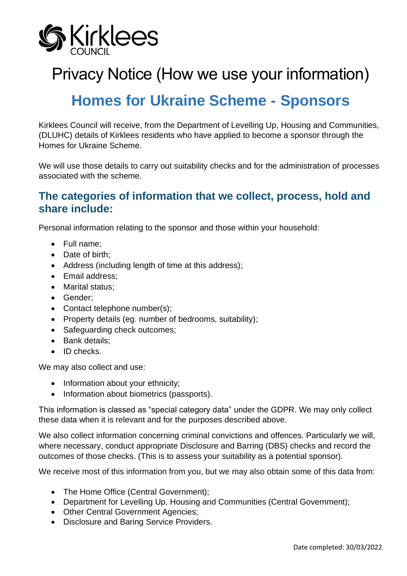

# Privacy Notice (How we use your information)

# **Homes for Ukraine Scheme - Sponsors**

Kirklees Council will receive, from the Department of Levelling Up, Housing and Communities, (DLUHC) details of Kirklees residents who have applied to become a sponsor through the Homes for Ukraine Scheme.

We will use those details to carry out suitability checks and for the administration of processes associated with the scheme.

#### **The categories of information that we collect, process, hold and share include:**

Personal information relating to the sponsor and those within your household:

- Full name;
- Date of birth;
- Address (including length of time at this address);
- Email address;
- Marital status;
- Gender;
- Contact telephone number(s);
- Property details (eg. number of bedrooms, suitability);
- Safeguarding check outcomes;
- Bank details;
- ID checks.

We may also collect and use:

- Information about your ethnicity;
- Information about biometrics (passports).

This information is classed as "special category data" under the GDPR. We may only collect these data when it is relevant and for the purposes described above.

We also collect information concerning criminal convictions and offences. Particularly we will, where necessary, conduct appropriate Disclosure and Barring (DBS) checks and record the outcomes of those checks. (This is to assess your suitability as a potential sponsor).

We receive most of this information from you, but we may also obtain some of this data from:

- The Home Office (Central Government):
- Department for Levelling Up, Housing and Communities (Central Government);
- Other Central Government Agencies;
- Disclosure and Baring Service Providers.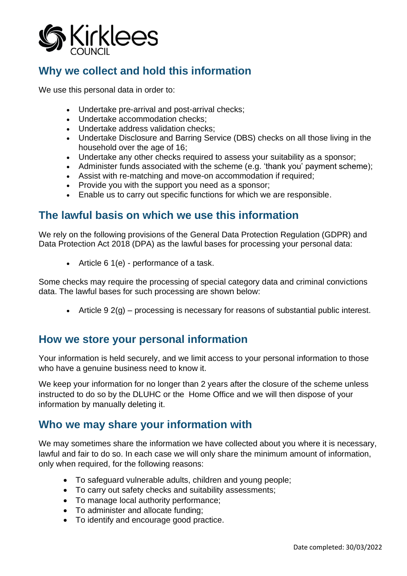

## **Why we collect and hold this information**

We use this personal data in order to:

- Undertake pre-arrival and post-arrival checks;
- Undertake accommodation checks;
- Undertake address validation checks;
- Undertake Disclosure and Barring Service (DBS) checks on all those living in the household over the age of 16;
- Undertake any other checks required to assess your suitability as a sponsor;
- Administer funds associated with the scheme (e.g. 'thank you' payment scheme);
- Assist with re-matching and move-on accommodation if required;
- Provide you with the support you need as a sponsor;
- Enable us to carry out specific functions for which we are responsible.

### **The lawful basis on which we use this information**

We rely on the following provisions of the General Data Protection Regulation (GDPR) and Data Protection Act 2018 (DPA) as the lawful bases for processing your personal data:

• Article 6 1(e) - performance of a task.

Some checks may require the processing of special category data and criminal convictions data. The lawful bases for such processing are shown below:

• Article 9 2(g) – processing is necessary for reasons of substantial public interest.

### **How we store your personal information**

Your information is held securely, and we limit access to your personal information to those who have a genuine business need to know it.

We keep your information for no longer than 2 years after the closure of the scheme unless instructed to do so by the DLUHC or the Home Office and we will then dispose of your information by manually deleting it.

#### **Who we may share your information with**

We may sometimes share the information we have collected about you where it is necessary, lawful and fair to do so. In each case we will only share the minimum amount of information, only when required, for the following reasons:

- To safeguard vulnerable adults, children and young people;
- To carry out safety checks and suitability assessments;
- To manage local authority performance;
- To administer and allocate funding;
- To identify and encourage good practice.